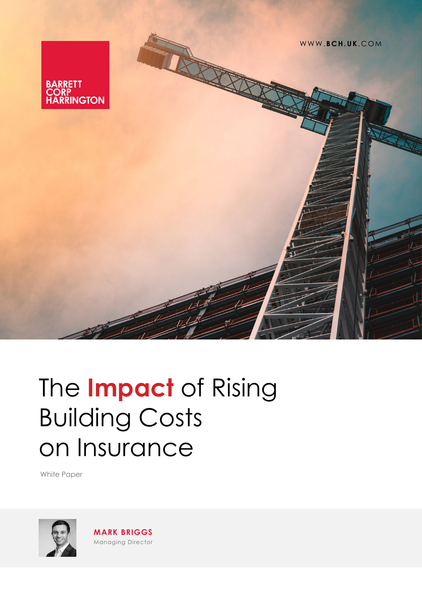

# The **Impact** of Rising Building Costs on Insurance

White Paper



**MARK BRIGGS** Managing Director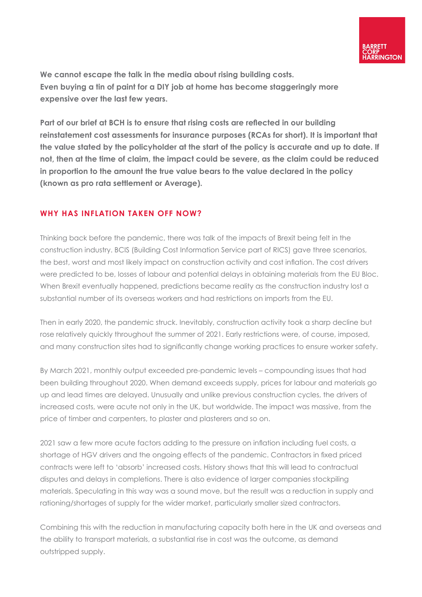**We cannot escape the talk in the media about rising building costs. Even buying a tin of paint for a DIY job at home has become staggeringly more expensive over the last few years.**

**Part of our brief at BCH is to ensure that rising costs are reflected in our building reinstatement cost assessments for insurance purposes (RCAs for short). It is important that the value stated by the policyholder at the start of the policy is accurate and up to date. If not, then at the time of claim, the impact could be severe, as the claim could be reduced in proportion to the amount the true value bears to the value declared in the policy (known as pro rata settlement or Average).**

## **WHY HAS INFLATION TAKEN OFF NOW?**

Thinking back before the pandemic, there was talk of the impacts of Brexit being felt in the construction industry. BCIS (Building Cost Information Service part of RICS) gave three scenarios, the best, worst and most likely impact on construction activity and cost inflation. The cost drivers were predicted to be, losses of labour and potential delays in obtaining materials from the EU Bloc. When Brexit eventually happened, predictions became reality as the construction industry lost a substantial number of its overseas workers and had restrictions on imports from the EU.

Then in early 2020, the pandemic struck. Inevitably, construction activity took a sharp decline but rose relatively quickly throughout the summer of 2021. Early restrictions were, of course, imposed, and many construction sites had to significantly change working practices to ensure worker safety.

By March 2021, monthly output exceeded pre-pandemic levels – compounding issues that had been building throughout 2020. When demand exceeds supply, prices for labour and materials go up and lead times are delayed. Unusually and unlike previous construction cycles, the drivers of increased costs, were acute not only in the UK, but worldwide. The impact was massive, from the price of timber and carpenters, to plaster and plasterers and so on.

2021 saw a few more acute factors adding to the pressure on inflation including fuel costs, a shortage of HGV drivers and the ongoing effects of the pandemic. Contractors in fixed priced contracts were left to 'absorb' increased costs. History shows that this will lead to contractual disputes and delays in completions. There is also evidence of larger companies stockpiling materials. Speculating in this way was a sound move, but the result was a reduction in supply and rationing/shortages of supply for the wider market, particularly smaller sized contractors.

Combining this with the reduction in manufacturing capacity both here in the UK and overseas and the ability to transport materials, a substantial rise in cost was the outcome, as demand outstripped supply.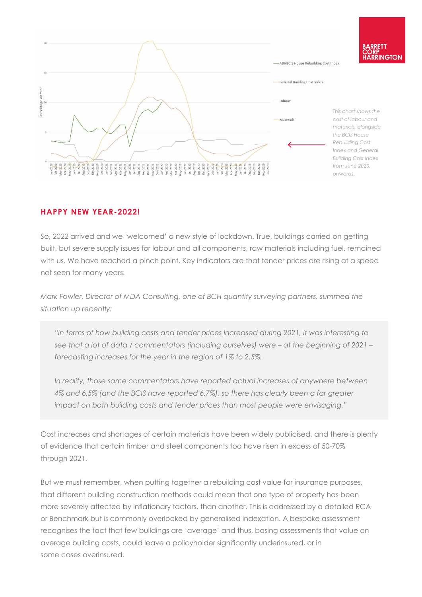

## **HAPPY NEW YEAR-2022!**

So, 2022 arrived and we 'welcomed' a new style of lockdown. True, buildings carried on getting built, but severe supply issues for labour and all components, raw materials including fuel, remained with us. We have reached a pinch point. Key indicators are that tender prices are rising at a speed not seen for many years.

*Mark Fowler, Director of MDA Consulting, one of BCH quantity surveying partners, summed the situation up recently:*

*"In terms of how building costs and tender prices increased during 2021, it was interesting to see that a lot of data / commentators (including ourselves) were – at the beginning of 2021 – forecasting increases for the year in the region of 1% to 2.5%.*

*In reality, those same commentators have reported actual increases of anywhere between 4% and 6.5% (and the BCIS have reported 6.7%), so there has clearly been a far greater impact on both building costs and tender prices than most people were envisaging."*

Cost increases and shortages of certain materials have been widely publicised, and there is plenty of evidence that certain timber and steel components too have risen in excess of 50-70% through 2021.

But we must remember, when putting together a rebuilding cost value for insurance purposes, that different building construction methods could mean that one type of property has been more severely affected by inflationary factors, than another. This is addressed by a detailed RCA or Benchmark but is commonly overlooked by generalised indexation. A bespoke assessment recognises the fact that few buildings are 'average' and thus, basing assessments that value on average building costs, could leave a policyholder significantly underinsured, or in some cases overinsured.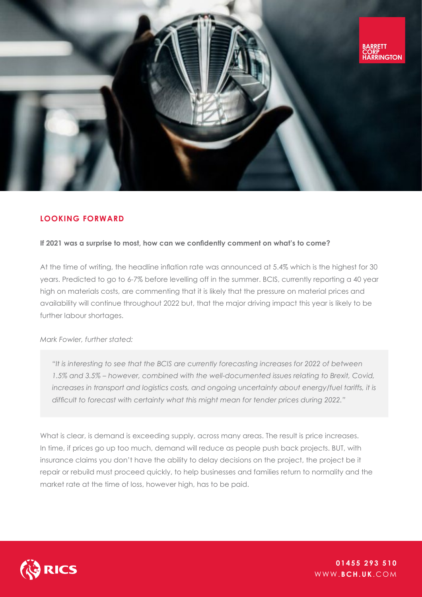

## **LOOKING FORWARD**

#### **If 2021 was a surprise to most, how can we confidently comment on what's to come?**

At the time of writing, the headline inflation rate was announced at 5.4% which is the highest for 30 years. Predicted to go to 6-7% before levelling off in the summer. BCIS, currently reporting a 40 year high on materials costs, are commenting that it is likely that the pressure on material prices and availability will continue throughout 2022 but, that the major driving impact this year is likely to be further labour shortages.

#### *Mark Fowler, further stated:*

*"It is interesting to see that the BCIS are currently forecasting increases for 2022 of between 1.5% and 3.5% – however, combined with the well-documented issues relating to Brexit, Covid, increases in transport and logistics costs, and ongoing uncertainty about energy/fuel tariffs, it is difficult to forecast with certainty what this might mean for tender prices during 2022."*

What is clear, is demand is exceeding supply, across many areas. The result is price increases. In time, if prices go up too much, demand will reduce as people push back projects. BUT, with insurance claims you don't have the ability to delay decisions on the project, the project be it repair or rebuild must proceed quickly, to help businesses and families return to normality and the market rate at the time of loss, however high, has to be paid.



WWW. **BCH.UK**.COM **01455 293 510**